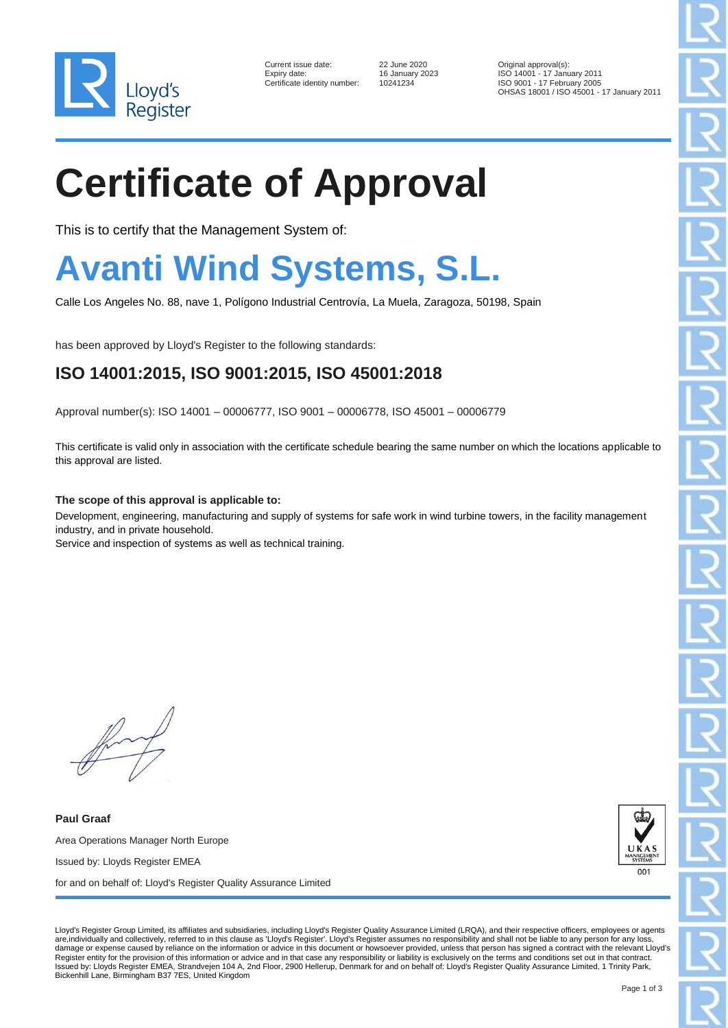

| Current issue date:         |
|-----------------------------|
| Expiry date:                |
| Certificate identitv number |

Certificate identity number: 10241234

22 June 2020 **Current Constructs** Consumer 2023 **Current Consumer 2021** Current Consumer 2020 Original approval(s): Expiry date: 16 January 2023 ISO 14001 - 17 January 2011 ISO 9001 - 17 February 2005 OHSAS 18001 / ISO 45001 - 17 January 2011

# **Certificate of Approval**

This is to certify that the Management System of:

### **Avanti Wind Systems, S.L.**

Calle Los Angeles No. 88, nave 1, Polígono Industrial Centrovía, La Muela, Zaragoza, 50198, Spain

has been approved by Lloyd's Register to the following standards:

#### **ISO 14001:2015, ISO 9001:2015, ISO 45001:2018**

Approval number(s): ISO 14001 – 00006777, ISO 9001 – 00006778, ISO 45001 – 00006779

This certificate is valid only in association with the certificate schedule bearing the same number on which the locations applicable to this approval are listed.

**The scope of this approval is applicable to:**

Development, engineering, manufacturing and supply of systems for safe work in wind turbine towers, in the facility management industry, and in private household.

Service and inspection of systems as well as technical training.

**Paul Graaf** Area Operations Manager North Europe Issued by: Lloyds Register EMEA for and on behalf of: Lloyd's Register Quality Assurance Limited



Lloyd's Register Group Limited, its affiliates and subsidiaries, including Lloyd's Register Quality Assurance Limited (LRQA), and their respective officers, employees or agents are,individually and collectively, referred to in this clause as 'Lloyd's Register'. Lloyd's Register assumes no responsibility and shall not be liable to any person for any loss, damage or expense caused by reliance on the information or advice in this document or howsoever provided, unless that person has signed a contract with the relevant Lloyd's Register entity for the provision of this information or advice and in that case any responsibility or liability is exclusively on the terms and conditions set out in that contract. Issued by: Lloyds Register EMEA, Strandvejen 104 A, 2nd Floor, 2900 Hellerup, Denmark for and on behalf of: Lloyd's Register Quality Assurance Limited, 1 Trinity Park, Bickenhill Lane, Birmingham B37 7ES, United Kingdom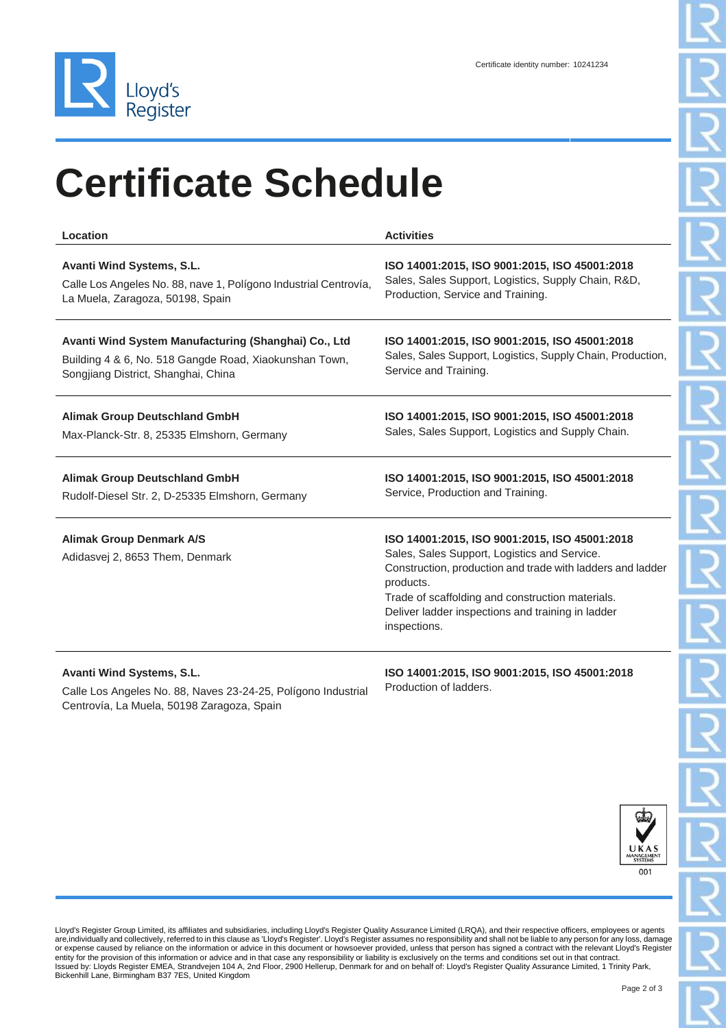

# **Certificate Schedule**

| Location                                                           | <b>Activities</b>                                                                                                                                                                                                                                                                                 |
|--------------------------------------------------------------------|---------------------------------------------------------------------------------------------------------------------------------------------------------------------------------------------------------------------------------------------------------------------------------------------------|
| Avanti Wind Systems, S.L.                                          | ISO 14001:2015, ISO 9001:2015, ISO 45001:2018                                                                                                                                                                                                                                                     |
| Calle Los Angeles No. 88, nave 1, Polígono Industrial Centrovía,   | Sales, Sales Support, Logistics, Supply Chain, R&D,                                                                                                                                                                                                                                               |
| La Muela, Zaragoza, 50198, Spain                                   | Production, Service and Training.                                                                                                                                                                                                                                                                 |
| Avanti Wind System Manufacturing (Shanghai) Co., Ltd               | ISO 14001:2015, ISO 9001:2015, ISO 45001:2018                                                                                                                                                                                                                                                     |
| Building 4 & 6, No. 518 Gangde Road, Xiaokunshan Town,             | Sales, Sales Support, Logistics, Supply Chain, Production,                                                                                                                                                                                                                                        |
| Songjiang District, Shanghai, China                                | Service and Training.                                                                                                                                                                                                                                                                             |
| <b>Alimak Group Deutschland GmbH</b>                               | ISO 14001:2015, ISO 9001:2015, ISO 45001:2018                                                                                                                                                                                                                                                     |
| Max-Planck-Str. 8, 25335 Elmshorn, Germany                         | Sales, Sales Support, Logistics and Supply Chain.                                                                                                                                                                                                                                                 |
| <b>Alimak Group Deutschland GmbH</b>                               | ISO 14001:2015, ISO 9001:2015, ISO 45001:2018                                                                                                                                                                                                                                                     |
| Rudolf-Diesel Str. 2, D-25335 Elmshorn, Germany                    | Service, Production and Training.                                                                                                                                                                                                                                                                 |
| <b>Alimak Group Denmark A/S</b><br>Adidasvej 2, 8653 Them, Denmark | ISO 14001:2015, ISO 9001:2015, ISO 45001:2018<br>Sales, Sales Support, Logistics and Service.<br>Construction, production and trade with ladders and ladder<br>products.<br>Trade of scaffolding and construction materials.<br>Deliver ladder inspections and training in ladder<br>inspections. |
| Avanti Wind Systems, S.L.                                          | ISO 14001:2015, ISO 9001:2015, ISO 45001:2018                                                                                                                                                                                                                                                     |

Calle Los Angeles No. 88, Naves 23-24-25, Polígono Industrial Centrovía, La Muela, 50198 Zaragoza, Spain

**ISO 14001:2015, ISO 9001:2015, ISO 45001:2018** Production of ladders.



Lloyd's Register Group Limited, its affiliates and subsidiaries, including Lloyd's Register Quality Assurance Limited (LRQA), and their respective officers, employees or agents<br>are,individually and collectively, referred t or expense caused by reliance on the information or advice in this document or howsoever provided, unless that person has signed a contract with the relevant Lloyd's Register<br>entity for the provision of this information or